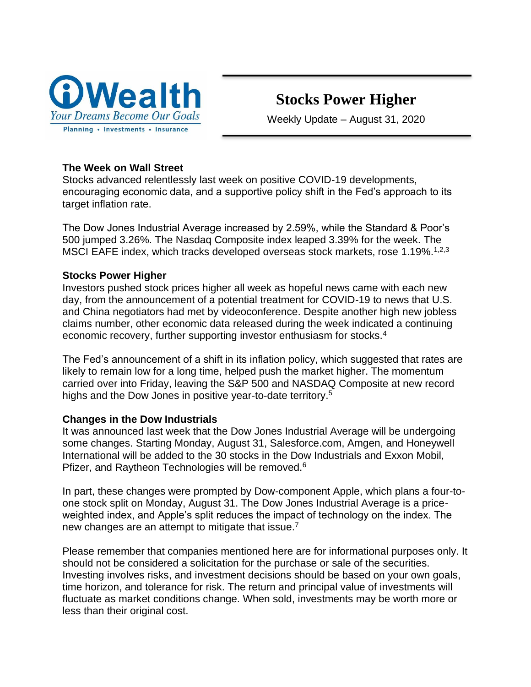

# **Stocks Power Higher**

Weekly Update – August 31, 2020

# **The Week on Wall Street**

Stocks advanced relentlessly last week on positive COVID-19 developments, encouraging economic data, and a supportive policy shift in the Fed's approach to its target inflation rate.

The Dow Jones Industrial Average increased by 2.59%, while the Standard & Poor's 500 jumped 3.26%. The Nasdaq Composite index leaped 3.39% for the week. The MSCI EAFE index, which tracks developed overseas stock markets, rose 1.19%.<sup>1,2,3</sup>

# **Stocks Power Higher**

Investors pushed stock prices higher all week as hopeful news came with each new day, from the announcement of a potential treatment for COVID-19 to news that U.S. and China negotiators had met by videoconference. Despite another high new jobless claims number, other economic data released during the week indicated a continuing economic recovery, further supporting investor enthusiasm for stocks.<sup>4</sup>

The Fed's announcement of a shift in its inflation policy, which suggested that rates are likely to remain low for a long time, helped push the market higher. The momentum carried over into Friday, leaving the S&P 500 and NASDAQ Composite at new record highs and the Dow Jones in positive year-to-date territory.<sup>5</sup>

## **Changes in the Dow Industrials**

It was announced last week that the Dow Jones Industrial Average will be undergoing some changes. Starting Monday, August 31, Salesforce.com, Amgen, and Honeywell International will be added to the 30 stocks in the Dow Industrials and Exxon Mobil, Pfizer, and Raytheon Technologies will be removed.<sup>6</sup>

In part, these changes were prompted by Dow-component Apple, which plans a four-toone stock split on Monday, August 31. The Dow Jones Industrial Average is a priceweighted index, and Apple's split reduces the impact of technology on the index. The new changes are an attempt to mitigate that issue.<sup>7</sup>

Please remember that companies mentioned here are for informational purposes only. It should not be considered a solicitation for the purchase or sale of the securities. Investing involves risks, and investment decisions should be based on your own goals, time horizon, and tolerance for risk. The return and principal value of investments will fluctuate as market conditions change. When sold, investments may be worth more or less than their original cost.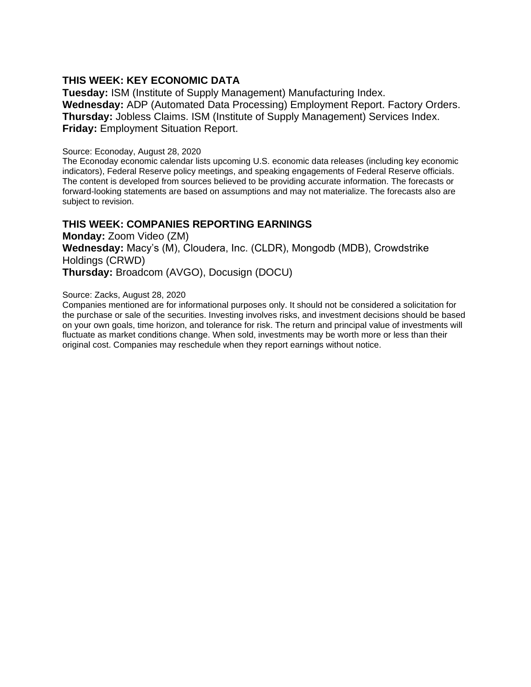### **THIS WEEK: KEY ECONOMIC DATA**

**Tuesday:** ISM (Institute of Supply Management) Manufacturing Index. **Wednesday:** ADP (Automated Data Processing) Employment Report. Factory Orders. **Thursday:** Jobless Claims. ISM (Institute of Supply Management) Services Index. **Friday:** Employment Situation Report.

#### Source: Econoday, August 28, 2020

The Econoday economic calendar lists upcoming U.S. economic data releases (including key economic indicators), Federal Reserve policy meetings, and speaking engagements of Federal Reserve officials. The content is developed from sources believed to be providing accurate information. The forecasts or forward-looking statements are based on assumptions and may not materialize. The forecasts also are subject to revision.

### **THIS WEEK: COMPANIES REPORTING EARNINGS**

**Monday:** Zoom Video (ZM) **Wednesday:** Macy's (M), Cloudera, Inc. (CLDR), Mongodb (MDB), Crowdstrike Holdings (CRWD) **Thursday:** Broadcom (AVGO), Docusign (DOCU)

#### Source: Zacks, August 28, 2020

Companies mentioned are for informational purposes only. It should not be considered a solicitation for the purchase or sale of the securities. Investing involves risks, and investment decisions should be based on your own goals, time horizon, and tolerance for risk. The return and principal value of investments will fluctuate as market conditions change. When sold, investments may be worth more or less than their original cost. Companies may reschedule when they report earnings without notice.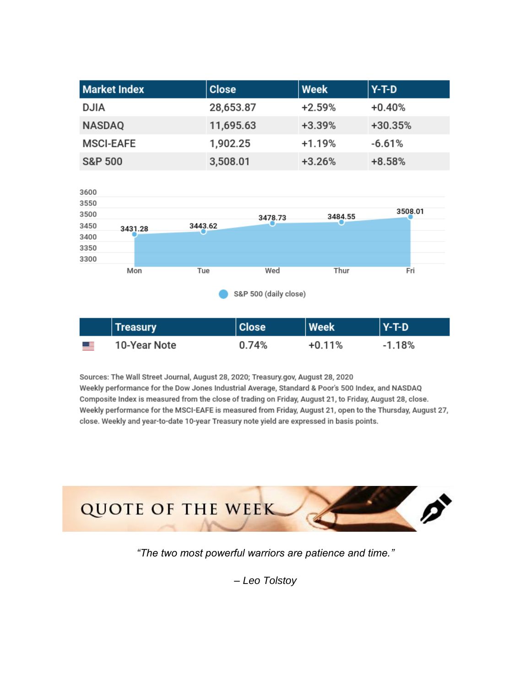| <b>Market Index</b> | <b>Close</b> | $ $ Week | Y-T-D     |
|---------------------|--------------|----------|-----------|
| <b>DJIA</b>         | 28,653.87    | $+2.59%$ | $+0.40%$  |
| <b>NASDAQ</b>       | 11,695.63    | $+3.39%$ | $+30.35%$ |
| <b>MSCI-EAFE</b>    | 1,902.25     | $+1.19%$ | $-6.61%$  |
| <b>S&amp;P 500</b>  | 3,508.01     | $+3.26%$ | $+8.58%$  |



|            | <b>Treasury</b> | <b>Close</b> | <b>Week</b> | $Y-T-D$ |
|------------|-----------------|--------------|-------------|---------|
| <u>est</u> | 10-Year Note    | 0.74%        | $+0.11%$    | -1.18%  |

Sources: The Wall Street Journal, August 28, 2020; Treasury.gov, August 28, 2020 Weekly performance for the Dow Jones Industrial Average, Standard & Poor's 500 Index, and NASDAQ Composite Index is measured from the close of trading on Friday, August 21, to Friday, August 28, close. Weekly performance for the MSCI-EAFE is measured from Friday, August 21, open to the Thursday, August 27, close. Weekly and year-to-date 10-year Treasury note yield are expressed in basis points.



*"The two most powerful warriors are patience and time."*

*– Leo Tolstoy*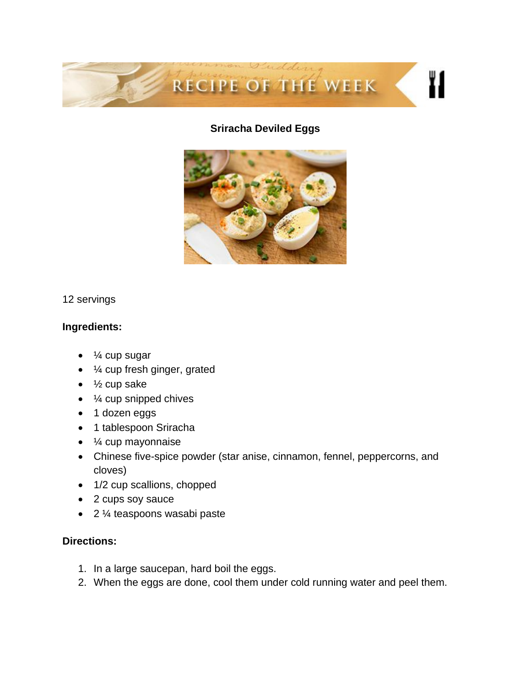

# **Sriracha Deviled Eggs**



## 12 servings

# **Ingredients:**

- ¼ cup sugar
- ¼ cup fresh ginger, grated
- $\bullet$   $\frac{1}{2}$  cup sake
- ¼ cup snipped chives
- 1 dozen eggs
- 1 tablespoon Sriracha
- ¼ cup mayonnaise
- Chinese five-spice powder (star anise, cinnamon, fennel, peppercorns, and cloves)
- 1/2 cup scallions, chopped
- 2 cups soy sauce
- 2 ¼ teaspoons wasabi paste

# **Directions:**

- 1. In a large saucepan, hard boil the eggs.
- 2. When the eggs are done, cool them under cold running water and peel them.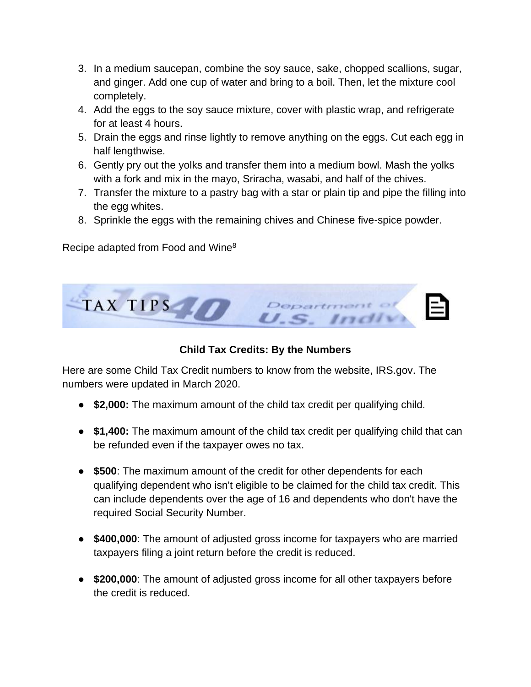- 3. In a medium saucepan, combine the soy sauce, sake, chopped scallions, sugar, and ginger. Add one cup of water and bring to a boil. Then, let the mixture cool completely.
- 4. Add the eggs to the soy sauce mixture, cover with plastic wrap, and refrigerate for at least 4 hours.
- 5. Drain the eggs and rinse lightly to remove anything on the eggs. Cut each egg in half lengthwise.
- 6. Gently pry out the yolks and transfer them into a medium bowl. Mash the yolks with a fork and mix in the mayo, Sriracha, wasabi, and half of the chives.
- 7. Transfer the mixture to a pastry bag with a star or plain tip and pipe the filling into the egg whites.
- 8. Sprinkle the eggs with the remaining chives and Chinese five-spice powder.

Recipe adapted from Food and Wine<sup>8</sup>



**Child Tax Credits: By the Numbers**

Here are some Child Tax Credit numbers to know from the website, IRS.gov. The numbers were updated in March 2020.

- **\$2,000:** The maximum amount of the child tax credit per qualifying child.
- **\$1,400:** The maximum amount of the child tax credit per qualifying child that can be refunded even if the taxpayer owes no tax.
- **\$500**: The maximum amount of the credit for other dependents for each qualifying dependent who isn't eligible to be claimed for the child tax credit. This can include dependents over the age of 16 and dependents who don't have the required Social Security Number.
- **\$400,000**: The amount of adjusted gross income for taxpayers who are married taxpayers filing a joint return before the credit is reduced.
- **\$200,000**: The amount of adjusted gross income for all other taxpayers before the credit is reduced.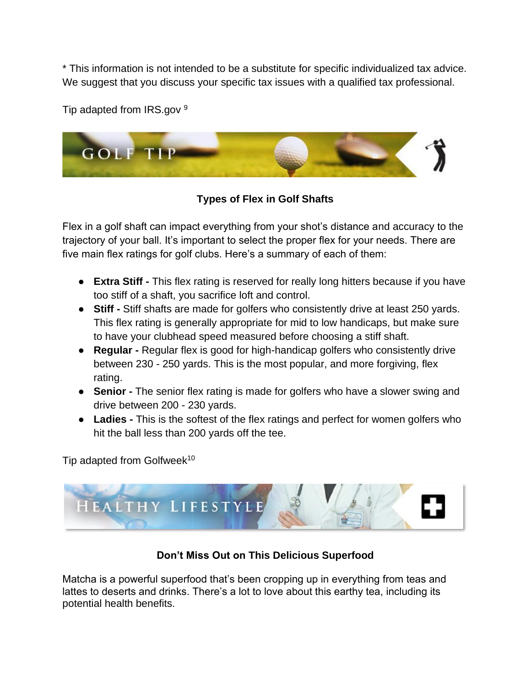\* This information is not intended to be a substitute for specific individualized tax advice. We suggest that you discuss your specific tax issues with a qualified tax professional.

Tip adapted from IRS.gov 9



**Types of Flex in Golf Shafts**

Flex in a golf shaft can impact everything from your shot's distance and accuracy to the trajectory of your ball. It's important to select the proper flex for your needs. There are five main flex ratings for golf clubs. Here's a summary of each of them:

- **Extra Stiff -** This flex rating is reserved for really long hitters because if you have too stiff of a shaft, you sacrifice loft and control.
- **Stiff -** Stiff shafts are made for golfers who consistently drive at least 250 yards. This flex rating is generally appropriate for mid to low handicaps, but make sure to have your clubhead speed measured before choosing a stiff shaft.
- **Regular -** Regular flex is good for high-handicap golfers who consistently drive between 230 - 250 yards. This is the most popular, and more forgiving, flex rating.
- **Senior -** The senior flex rating is made for golfers who have a slower swing and drive between 200 - 230 yards.
- **Ladies -** This is the softest of the flex ratings and perfect for women golfers who hit the ball less than 200 yards off the tee.

Tip adapted from Golfweek<sup>10</sup>



# **Don't Miss Out on This Delicious Superfood**

Matcha is a powerful superfood that's been cropping up in everything from teas and lattes to deserts and drinks. There's a lot to love about this earthy tea, including its potential health benefits.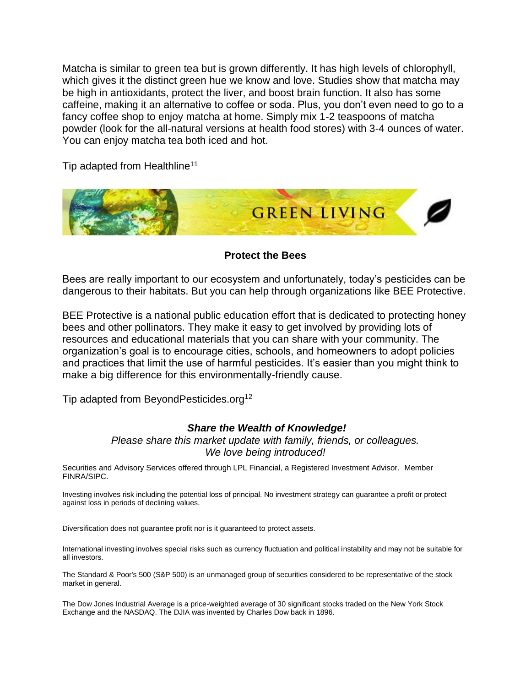Matcha is similar to green tea but is grown differently. It has high levels of chlorophyll, which gives it the distinct green hue we know and love. Studies show that matcha may be high in antioxidants, protect the liver, and boost brain function. It also has some caffeine, making it an alternative to coffee or soda. Plus, you don't even need to go to a fancy coffee shop to enjoy matcha at home. Simply mix 1-2 teaspoons of matcha powder (look for the all-natural versions at health food stores) with 3-4 ounces of water. You can enjoy matcha tea both iced and hot.

Tip adapted from Healthline<sup>11</sup>



**Protect the Bees**

Bees are really important to our ecosystem and unfortunately, today's pesticides can be dangerous to their habitats. But you can help through organizations like BEE Protective.

BEE Protective is a national public education effort that is dedicated to protecting honey bees and other pollinators. They make it easy to get involved by providing lots of resources and educational materials that you can share with your community. The organization's goal is to encourage cities, schools, and homeowners to adopt policies and practices that limit the use of harmful pesticides. It's easier than you might think to make a big difference for this environmentally-friendly cause.

Tip adapted from BeyondPesticides.org<sup>12</sup>

## *Share the Wealth of Knowledge!*

*Please share this market update with family, friends, or colleagues. We love being introduced!*

Securities and Advisory Services offered through LPL Financial, a Registered Investment Advisor. Member FINRA/SIPC.

Investing involves risk including the potential loss of principal. No investment strategy can guarantee a profit or protect against loss in periods of declining values.

Diversification does not guarantee profit nor is it guaranteed to protect assets.

International investing involves special risks such as currency fluctuation and political instability and may not be suitable for all investors.

The Standard & Poor's 500 (S&P 500) is an unmanaged group of securities considered to be representative of the stock market in general.

The Dow Jones Industrial Average is a price-weighted average of 30 significant stocks traded on the New York Stock Exchange and the NASDAQ. The DJIA was invented by Charles Dow back in 1896.